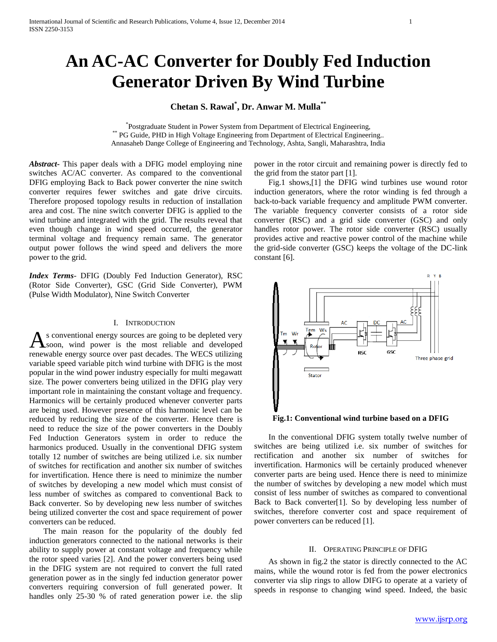# **An AC-AC Converter for Doubly Fed Induction Generator Driven By Wind Turbine**

# **Chetan S. Rawal\* , Dr. Anwar M. Mulla\*\***

\* Postgraduate Student in Power System from Department of Electrical Engineering, \*\* PG Guide, PHD in High Voltage Engineering from Department of Electrical Engineering.. Annasaheb Dange College of Engineering and Technology, Ashta, Sangli, Maharashtra, India

*Abstract***-** This paper deals with a DFIG model employing nine switches AC/AC converter. As compared to the conventional DFIG employing Back to Back power converter the nine switch converter requires fewer switches and gate drive circuits. Therefore proposed topology results in reduction of installation area and cost. The nine switch converter DFIG is applied to the wind turbine and integrated with the grid. The results reveal that even though change in wind speed occurred, the generator terminal voltage and frequency remain same. The generator output power follows the wind speed and delivers the more power to the grid.

*Index Terms*- DFIG (Doubly Fed Induction Generator), RSC (Rotor Side Converter), GSC (Grid Side Converter), PWM (Pulse Width Modulator), Nine Switch Converter

#### I. INTRODUCTION

s conventional energy sources are going to be depleted very  $\mathbf{A}$  soon, wind power is the most reliable and  $\mathbf{a}$  and  $\mathbf{a}$ renewable energy source over past decades. The WECS utilizing variable speed variable pitch wind turbine with DFIG is the most popular in the wind power industry especially for multi megawatt size. The power converters being utilized in the DFIG play very important role in maintaining the constant voltage and frequency. Harmonics will be certainly produced whenever converter parts are being used. However presence of this harmonic level can be reduced by reducing the size of the converter. Hence there is need to reduce the size of the power converters in the Doubly Fed Induction Generators system in order to reduce the harmonics produced. Usually in the conventional DFIG system totally 12 number of switches are being utilized i.e. six number of switches for rectification and another six number of switches for invertification. Hence there is need to minimize the number of switches by developing a new model which must consist of less number of switches as compared to conventional Back to Back converter. So by developing new less number of switches being utilized converter the cost and space requirement of power converters can be reduced.

 The main reason for the popularity of the doubly fed induction generators connected to the national networks is their ability to supply power at constant voltage and frequency while the rotor speed varies [2]. And the power converters being used in the DFIG system are not required to convert the full rated generation power as in the singly fed induction generator power converters requiring conversion of full generated power. It handles only 25-30 % of rated generation power i.e. the slip

power in the rotor circuit and remaining power is directly fed to the grid from the stator part [1].

 Fig.1 shows,[1] the DFIG wind turbines use wound rotor induction generators, where the rotor winding is fed through a back-to-back variable frequency and amplitude PWM converter. The variable frequency converter consists of a rotor side converter (RSC) and a grid side converter (GSC) and only handles rotor power. The rotor side converter (RSC) usually provides active and reactive power control of the machine while the grid-side converter (GSC) keeps the voltage of the DC-link constant [6].



**Fig.1: Conventional wind turbine based on a DFIG**

 In the conventional DFIG system totally twelve number of switches are being utilized i.e. six number of switches for rectification and another six number of switches for invertification. Harmonics will be certainly produced whenever converter parts are being used. Hence there is need to minimize the number of switches by developing a new model which must consist of less number of switches as compared to conventional Back to Back converter[1]. So by developing less number of switches, therefore converter cost and space requirement of power converters can be reduced [1].

#### II. OPERATING PRINCIPLE OF DFIG

 As shown in fig.2 the stator is directly connected to the AC mains, while the wound rotor is fed from the power electronics converter via slip rings to allow DIFG to operate at a variety of speeds in response to changing wind speed. Indeed, the basic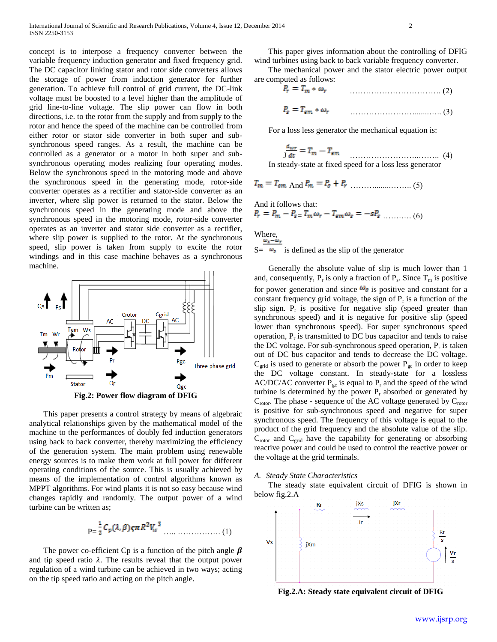concept is to interpose a frequency converter between the variable frequency induction generator and fixed frequency grid. The DC capacitor linking stator and rotor side converters allows the storage of power from induction generator for further generation. To achieve full control of grid current, the DC-link voltage must be boosted to a level higher than the amplitude of grid line-to-line voltage. The slip power can flow in both directions, i.e. to the rotor from the supply and from supply to the rotor and hence the speed of the machine can be controlled from either rotor or stator side converter in both super and subsynchronous speed ranges. As a result, the machine can be controlled as a generator or a motor in both super and subsynchronous operating modes realizing four operating modes. Below the synchronous speed in the motoring mode and above the synchronous speed in the generating mode, rotor-side converter operates as a rectifier and stator-side converter as an inverter, where slip power is returned to the stator. Below the synchronous speed in the generating mode and above the synchronous speed in the motoring mode, rotor-side converter operates as an inverter and stator side converter as a rectifier, where slip power is supplied to the rotor. At the synchronous speed, slip power is taken from supply to excite the rotor windings and in this case machine behaves as a synchronous machine.



 This paper presents a control strategy by means of algebraic analytical relationships given by the mathematical model of the machine to the performances of doubly fed induction generators using back to back converter, thereby maximizing the efficiency of the generation system. The main problem using renewable energy sources is to make them work at full power for different operating conditions of the source. This is usually achieved by means of the implementation of control algorithms known as MPPT algorithms. For wind plants it is not so easy because wind changes rapidly and randomly. The output power of a wind turbine can be written as;

$$
P = \frac{1}{2} C_p(\lambda, \beta) \zeta \pi R^2 V_w^3 \dots \dots \dots \dots \dots \dots \dots (1)
$$

The power co-efficient Cp is a function of the pitch angle  $\beta$ and tip speed ratio  $\lambda$ . The results reveal that the output power regulation of a wind turbine can be achieved in two ways; acting on the tip speed ratio and acting on the pitch angle.

 This paper gives information about the controlling of DFIG wind turbines using back to back variable frequency converter.

 The mechanical power and the stator electric power output are computed as follows:

| $P_r = T_m * \omega_r$    |  |
|---------------------------|--|
| $P_s = T_{em} * \omega_r$ |  |

For a loss less generator the mechanical equation is:

$$
\frac{d_{wr}}{dt} = T_m - T_{em} \tag{4}
$$

In steady-state at fixed speed for a loss less generator

$$
T_m = T_{\text{em And}} P_m = P_s + P_r
$$
 (5)

And it follows that:  
\n
$$
P_r = P_m - P_{s=} T_m \omega_r - T_{em} \omega_s = -s P_s \dots \dots \dots \tag{6}
$$

Where,  $S = \omega_s$  is defined as the slip of the generator

 Generally the absolute value of slip is much lower than 1 and, consequently,  $P_r$  is only a fraction of  $P_s$ . Since  $T_m$  is positive for power generation and since  $\omega_s$  is positive and constant for a constant frequency grid voltage, the sign of  $P_r$  is a function of the slip sign.  $P_r$  is positive for negative slip (speed greater than synchronous speed) and it is negative for positive slip (speed lower than synchronous speed). For super synchronous speed operation,  $P_r$  is transmitted to DC bus capacitor and tends to raise the DC voltage. For sub-synchronous speed operation,  $P_r$  is taken out of DC bus capacitor and tends to decrease the DC voltage.  $C_{\text{grid}}$  is used to generate or absorb the power  $P_{\text{gc}}$  in order to keep the DC voltage constant. In steady-state for a lossless AC/DC/AC converter  $P_{gc}$  is equal to  $P_r$  and the speed of the wind turbine is determined by the power  $P_r$  absorbed or generated by  $C_{\text{rotor}}$ . The phase - sequence of the AC voltage generated by  $C_{\text{rotor}}$ is positive for sub-synchronous speed and negative for super synchronous speed. The frequency of this voltage is equal to the product of the grid frequency and the absolute value of the slip.  $C_{\text{rotor}}$  and  $C_{\text{grid}}$  have the capability for generating or absorbing reactive power and could be used to control the reactive power or the voltage at the grid terminals.

#### *A. Steady State Characteristics*

 The steady state equivalent circuit of DFIG is shown in below fig.2.A



**Fig.2.A: Steady state equivalent circuit of DFIG**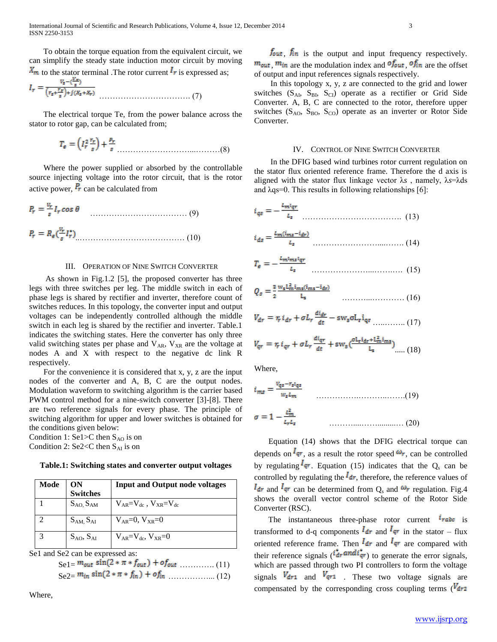To obtain the torque equation from the equivalent circuit, we can simplify the steady state induction motor circuit by moving  $x_m$  to the stator terminal .The rotor current  $I_r$  is expressed as;

$$
I_r = \frac{V_s - \frac{(Y_r)}{s}}{(r_s + \frac{r_s}{s}) + j(x_s + x_r)}
$$
 (7)

 The electrical torque Te, from the power balance across the stator to rotor gap, can be calculated from;

$$
T_{\rm g} = \left(I_r^2 \frac{r_r}{s}\right) + \frac{p_r}{s} \tag{8}
$$

 Where the power supplied or absorbed by the controllable source injecting voltage into the rotor circuit, that is the rotor active power,  $P_r$  can be calculated from

$$
P_r = \frac{v_r}{s} I_r \cos \theta
$$
\n
$$
P_r = R_e(\frac{v_r}{s} I_r^*)
$$
\n(9)

#### III. OPERATION OF NINE SWITCH CONVERTER

 As shown in Fig.1.2 [5], the proposed converter has three legs with three switches per leg. The middle switch in each of phase legs is shared by rectifier and inverter, therefore count of switches reduces. In this topology, the converter input and output voltages can be independently controlled although the middle switch in each leg is shared by the rectifier and inverter. Table.1 indicates the switching states. Here the converter has only three valid switching states per phase and  $V_{AR}$ ,  $V_{XR}$  are the voltage at nodes A and X with respect to the negative dc link R respectively.

 For the convenience it is considered that x, y, z are the input nodes of the converter and A, B, C are the output nodes. Modulation waveform to switching algorithm is the carrier based PWM control method for a nine-switch converter [3]-[8]. There are two reference signals for every phase. The principle of switching algorithm for upper and lower switches is obtained for the conditions given below:

Condition 1: Se1>C then  $S_{AO}$  is on Condition 2: Se2<C then  $S_{AI}$  is on

**Table.1: Switching states and converter output voltages**

| Mode | ON<br>Switches      | <b>Input and Output node voltages</b> |
|------|---------------------|---------------------------------------|
|      | $S_{AO, S_{AM}}$    | $V_{AR} = V_{dc}$ , $V_{XR} = V_{dc}$ |
|      | $S_{AM}$ , $S_{AI}$ | $V_{AB}=0$ , $V_{XB}=0$               |
|      | $S_{AO}$ , $S_{AI}$ | $V_{AP} = V_{dc}$ , $V_{XP} = 0$      |

Se1 and Se2 can be expressed as:

| $\text{Sel} = \frac{m_{out} \sin(2 * \pi * f_{out}) + of_{out} \dots (11)}{}$ |  |
|-------------------------------------------------------------------------------|--|
|                                                                               |  |

Where,

 $f_{\text{out}}$ ,  $f_{\text{in}}$  is the output and input frequency respectively.  $m_{\text{out}}$ ,  $m_{\text{in}}$  are the modulation index and  $\sigma f_{\text{out}}$ ,  $\sigma f_{\text{in}}$  are the offset of output and input references signals respectively.

 In this topology x, y, z are connected to the grid and lower switches  $(S_{AI}, S_{BI}, S_{CI})$  operate as a rectifier or Grid Side Converter. A, B, C are connected to the rotor, therefore upper switches ( $S<sub>AO</sub>$ ,  $S<sub>BO</sub>$ ,  $S<sub>CO</sub>$ ) operate as an inverter or Rotor Side Converter.

#### IV. CONTROL OF NINE SWITCH CONVERTER

 In the DFIG based wind turbines rotor current regulation on the stator flux oriented reference frame. Therefore the d axis is aligned with the stator flux linkage vector λ*s* , namely, λ*s*=λds and  $\lambda$ qs=0. This results in following relationships [6]:

$$
i_{qs} = -\frac{L_{mlqr}}{L_s} \tag{13}
$$

$$
i_{ds} = \frac{L_m(i_{ms} - i_{dr})}{L_s} \tag{14}
$$

$$
T_{\rm e} = -\frac{L_{\rm m} l_{\rm m} l_{\rm q}}{L_{\rm s}} \quad (15)
$$

$$
Q_s = \frac{3}{2} \frac{w_s L_m^2 i_{ms} (i_{ms} - i_{dr})}{L_s} \qquad \qquad (16)
$$

$$
V_{dr} = r_r i_{dr} + \sigma L_r \frac{di_{dr}}{dt} - sw_s \sigma L_r i_{qr} \dots \dots \dots \dots (17)
$$

$$
V_{qr} = r_r i_{qr} + \sigma L_r \frac{di_{qr}}{dt} + \text{sw}_s \left(\frac{\sigma L_r i_{dr} + L_m^2 i_{ms}}{L_s}\right)_{\dots} (18)
$$

Where,

$$
i_{ms} = \frac{v_{qs} - r_{s}l_{qs}}{w_{s}l_{m}}
$$
\n
$$
\sigma = 1 - \frac{l_{m}^{2}}{l_{r}l_{s}}
$$
\n
$$
(19)
$$
\n
$$
(20)
$$

 Equation (14) shows that the DFIG electrical torque can depends on  $\frac{I_{qr}}{r}$ , as a result the rotor speed  $\omega_r$ , can be controlled by regulating  $I_{qr}$ . Equation (15) indicates that the  $Q_s$  can be controlled by regulating the  $I_{dr}$ , therefore, the reference values of  $I_{dr}$  and  $I_{qr}$  can be determined from O<sub>s</sub> and  $\omega_r$  regulation. Fig.4 shows the overall vector control scheme of the Rotor Side Converter (RSC).

The instantaneous three-phase rotor current  $\hat{i}$ rabe is transformed to d-q components  $I_{dr}$  and  $I_{qr}$  in the stator – flux oriented reference frame. Then  $I_{dr}$  and  $I_{qr}$  are compared with their reference signals  $(\mathbf{r}_{dr}^{\dagger} \mathbf{a} \mathbf{n} \mathbf{d} \mathbf{r}_{qr}^{\dagger})$  to generate the error signals, which are passed through two PI controllers to form the voltage signals  $V_{dr1}$  and  $V_{qr1}$ . These two voltage signals are compensated by the corresponding cross coupling terms  $(V<sub>dr2</sub>)$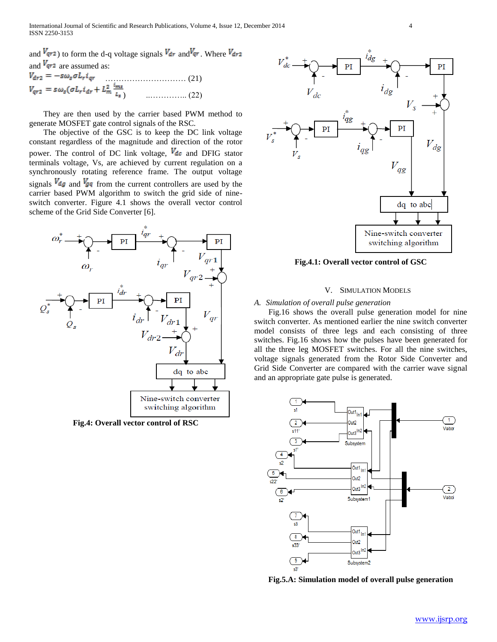and  $V_{qr}$  to form the d-q voltage signals  $V_{dr}$  and  $V_{qr}$ . Where  $V_{dr2}$ and  $V_{qr2}$  are assumed as:<br> $V_{dr2} = -s\omega_s \sigma L_r i_{qr}$  $V_{dr2} = -s\omega_s \sigma L_r i_{qr}$  (21)<br>  $V_{qr2} = s\omega_s (\sigma L_r i_{dr} + L_m^2 \frac{i_{ms}}{l_s})$  (22) ) ..………….. (22)

 They are then used by the carrier based PWM method to generate MOSFET gate control signals of the RSC.

 The objective of the GSC is to keep the DC link voltage constant regardless of the magnitude and direction of the rotor power. The control of DC link voltage,  $V_{dc}$  and DFIG stator terminals voltage, Vs, are achieved by current regulation on a synchronously rotating reference frame. The output voltage signals  $V_{dg}$  and  $V_{gq}$  from the current controllers are used by the carrier based PWM algorithm to switch the grid side of nineswitch converter. Figure 4.1 shows the overall vector control scheme of the Grid Side Converter [6].



**Fig.4: Overall vector control of RSC**



**Fig.4.1: Overall vector control of GSC**

#### V. SIMULATION MODELS

#### *A. Simulation of overall pulse generation*

 Fig.16 shows the overall pulse generation model for nine switch converter. As mentioned earlier the nine switch converter model consists of three legs and each consisting of three switches. Fig.16 shows how the pulses have been generated for all the three leg MOSFET switches. For all the nine switches, voltage signals generated from the Rotor Side Converter and Grid Side Converter are compared with the carrier wave signal and an appropriate gate pulse is generated.



**Fig.5.A: Simulation model of overall pulse generation**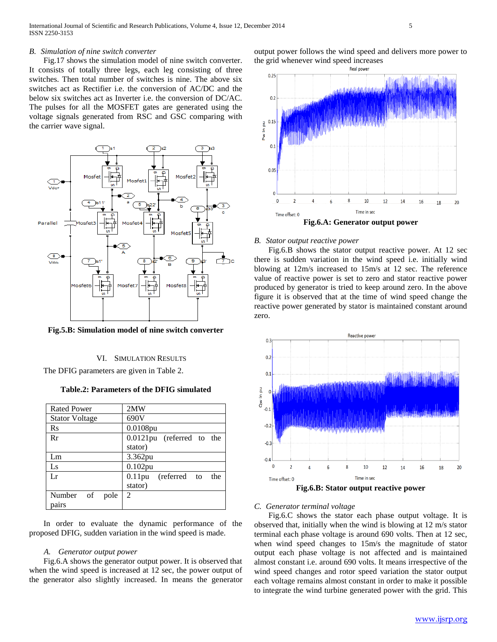### *B. Simulation of nine switch converter*

 Fig.17 shows the simulation model of nine switch converter. It consists of totally three legs, each leg consisting of three switches. Then total number of switches is nine. The above six switches act as Rectifier i.e. the conversion of AC/DC and the below six switches act as Inverter i.e. the conversion of DC/AC. The pulses for all the MOSFET gates are generated using the voltage signals generated from RSC and GSC comparing with the carrier wave signal.



**Fig.5.B: Simulation model of nine switch converter**

#### VI. SIMULATION RESULTS

The DFIG parameters are given in Table 2.

**Table.2: Parameters of the DFIG simulated**

| <b>Rated Power</b>    | 2MW                              |
|-----------------------|----------------------------------|
| <b>Stator Voltage</b> | 690V                             |
| $\rm Rs$              | 0.0108pu                         |
| Rr                    | 0.0121pu (referred to the        |
|                       | stator)                          |
| Lm                    | 3.362pu                          |
| Ls                    | 0.102pu                          |
| Lr                    | $0.11$ pu<br>(referred to<br>the |
|                       | stator)                          |
| Number of<br>pole     | 2                                |
| pairs                 |                                  |

 In order to evaluate the dynamic performance of the proposed DFIG, sudden variation in the wind speed is made.

## *A. Generator output power*

 Fig.6.A shows the generator output power. It is observed that when the wind speed is increased at 12 sec, the power output of the generator also slightly increased. In means the generator

output power follows the wind speed and delivers more power to the grid whenever wind speed increases



# *B. Stator output reactive power*

 Fig.6.B shows the stator output reactive power. At 12 sec there is sudden variation in the wind speed i.e. initially wind blowing at 12m/s increased to 15m/s at 12 sec. The reference value of reactive power is set to zero and stator reactive power produced by generator is tried to keep around zero. In the above figure it is observed that at the time of wind speed change the reactive power generated by stator is maintained constant around zero.



#### *C. Generator terminal voltage*

 Fig.6.C shows the stator each phase output voltage. It is observed that, initially when the wind is blowing at 12 m/s stator terminal each phase voltage is around 690 volts. Then at 12 sec, when wind speed changes to 15m/s the magnitude of stator output each phase voltage is not affected and is maintained almost constant i.e. around 690 volts. It means irrespective of the wind speed changes and rotor speed variation the stator output each voltage remains almost constant in order to make it possible to integrate the wind turbine generated power with the grid. This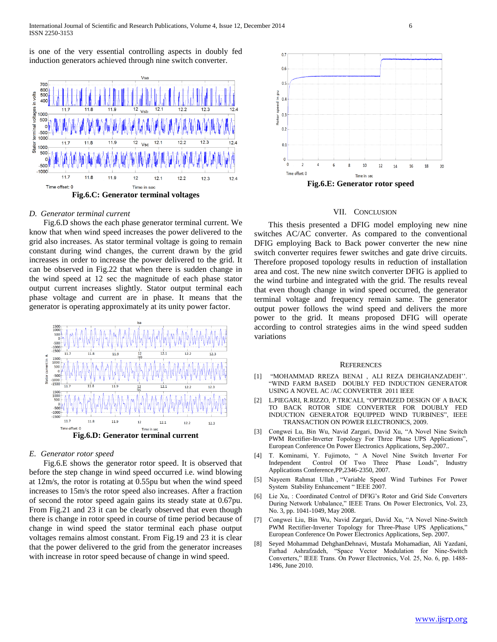is one of the very essential controlling aspects in doubly fed induction generators achieved through nine switch converter.



#### *D. Generator terminal current*

 Fig.6.D shows the each phase generator terminal current. We know that when wind speed increases the power delivered to the grid also increases. As stator terminal voltage is going to remain constant during wind changes, the current drawn by the grid increases in order to increase the power delivered to the grid. It can be observed in Fig.22 that when there is sudden change in the wind speed at 12 sec the magnitude of each phase stator output current increases slightly. Stator output terminal each phase voltage and current are in phase. It means that the generator is operating approximately at its unity power factor.



#### *E. Generator rotor speed*

 Fig.6.E shows the generator rotor speed. It is observed that before the step change in wind speed occurred i.e. wind blowing at 12m/s, the rotor is rotating at 0.55pu but when the wind speed increases to 15m/s the rotor speed also increases. After a fraction of second the rotor speed again gains its steady state at 0.67pu. From Fig.21 and 23 it can be clearly observed that even though there is change in rotor speed in course of time period because of change in wind speed the stator terminal each phase output voltages remains almost constant. From Fig.19 and 23 it is clear that the power delivered to the grid from the generator increases with increase in rotor speed because of change in wind speed.



# VII. CONCLUSION

 This thesis presented a DFIG model employing new nine switches AC/AC converter. As compared to the conventional DFIG employing Back to Back power converter the new nine switch converter requires fewer switches and gate drive circuits. Therefore proposed topology results in reduction of installation area and cost. The new nine switch converter DFIG is applied to the wind turbine and integrated with the grid. The results reveal that even though change in wind speed occurred, the generator terminal voltage and frequency remain same. The generator output power follows the wind speed and delivers the more power to the grid. It means proposed DFIG will operate according to control strategies aims in the wind speed sudden variations

#### **REFERENCES**

- [1] "MOHAMMAD RREZA BENAI , ALI REZA DEHGHANZADEH''. "WIND FARM BASED DOUBLY FED INDUCTION GENERATOR USING A NOVEL AC /AC CONVERTER 2011 IEEE
- [2] L.PIEGARI, R.RIZZO, P.TRICALI, "OPTIMIZED DESIGN OF A BACK TO BACK ROTOR SIDE CONVERTER FOR DOUBLY FED INDUCTION GENERATOR EQUIPPED WIND TURBINES", IEEE TRANSACTION ON POWER ELECTRONICS, 2009.
- [3] Congwei Lu, Bin Wu, Navid Zargari, David Xu, "A Novel Nine Switch PWM Rectifier-Inverter Topology For Three Phase UPS Applications", European Conference On Power Electronics Applications, Sep.2007..
- [4] T. Kominami, Y. Fujimoto, " A Novel Nine Switch Inverter For Independent Control Of Two Three Phase Loads", Industry Applications Conference,PP,2346-2350, 2007.
- [5] Nayeem Rahmat Ullah , "Variable Speed Wind Turbines For Power System Stability Enhancement " IEEE 2007.
- [6] Lie Xu, : Coordinated Control of DFIG's Rotor and Grid Side Converters During Network Unbalance," IEEE Trans. On Power Electronics, Vol. 23, No. 3, pp. 1041-1049, May 2008.
- [7] Congwei Liu, Bin Wu, Navid Zargari, David Xu, "A Novel Nine-Switch PWM Rectifier-Inverter Topology for Three-Phase UPS Applications," European Conference On Power Electronics Applications, Sep. 2007.
- [8] Seyed Mohammad DehghanDehnavi, Mustafa Mohamadian, Ali Yazdani, Farhad Ashrafzadeh, "Space Vector Modulation for Nine-Switch Converters," IEEE Trans. On Power Electronics, Vol. 25, No. 6, pp. 1488- 1496, June 2010.